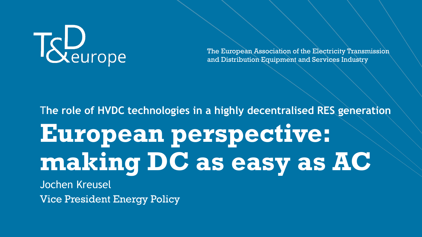

The European Association of the Electricity Transmission and Distribution Equipment and Services Industry

# **European perspective: making DC as easy as AC**  T**he role of HVDC technologies in a highly decentralised RES generation**  Jochen Kreusel

Vice President Energy Policy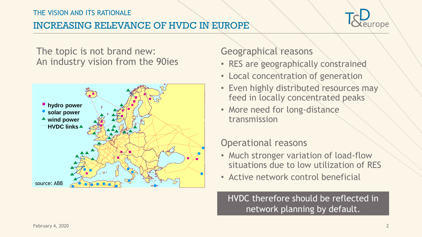### THE VISION AND ITS RATIONALE

### INCREASING RELEVANCE OF HVDC IN EUROPE



The topic is not brand new: An industry vision from the 90ies



### Geographical reasons

- RES are geographically constrained
- Local concentration of generation
- Even highly distributed resources may feed in locally concentrated peaks
- More need for long-distance transmission

### Operational reasons

- Much stronger variation of load-flow situations due to low utilization of RES
- Active network control beneficial

HVDC therefore should be reflected in network planning by default.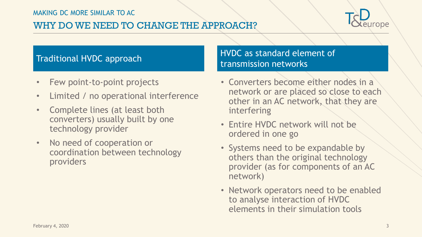### WHY DO WE NEED TO CHANGE THE APPROACH?



- Few point-to-point projects
- Limited / no operational interference
- Complete lines (at least both converters) usually built by one technology provider
- No need of cooperation or coordination between technology providers

### Traditional HVDC approach HVDC as standard element of transmission networks

- Converters become either nodes in a network or are placed so close to each other in an AC network, that they are interfering
- Entire HVDC network will not be ordered in one go
- Systems need to be expandable by others than the original technology provider (as for components of an AC network)
- Network operators need to be enabled to analyse interaction of HVDC elements in their simulation tools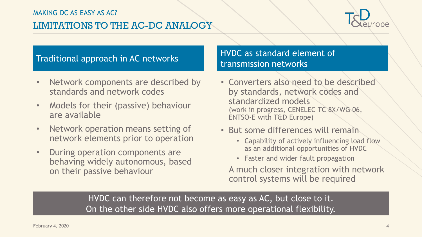### LIMITATIONS TO THE AC-DC ANALOGY



- Network components are described by standards and network codes
- Models for their (passive) behaviour are available
- Network operation means setting of network elements prior to operation
- During operation components are behaving widely autonomous, based on their passive behaviour

### Traditional approach in AC networks HVDC as standard element of transmission networks

- Converters also need to be described by standards, network codes and standardized models (work in progress, CENELEC TC 8X/WG 06, ENTSO-E with T&D Europe)
- But some differences will remain
	- Capability of actively influencing load flow as an additional opportunities of HVDC
	- Faster and wider fault propagation

A much closer integration with network control systems will be required

HVDC can therefore not become as easy as AC, but close to it. On the other side HVDC also offers more operational flexibility.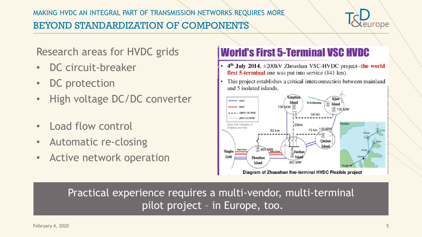

Research areas for HVDC grids

- DC circuit-breaker
- DC protection
- High voltage DC/DC converter
- Load flow control
- Automatic re-closing
- Active network operation

## **World's First 5-Terminal VSC HVDC**

- $4<sup>th</sup>$  July 2014,  $\pm$ 200kV Zhoushan VSC-HVDC project--the world first 5-terminal one was put into service (141 km).
- This project establishes a critical interconnection between mainland and 5 isolated islands.



Practical experience requires a multi-vendor, multi-terminal pilot project – in Europe, too.